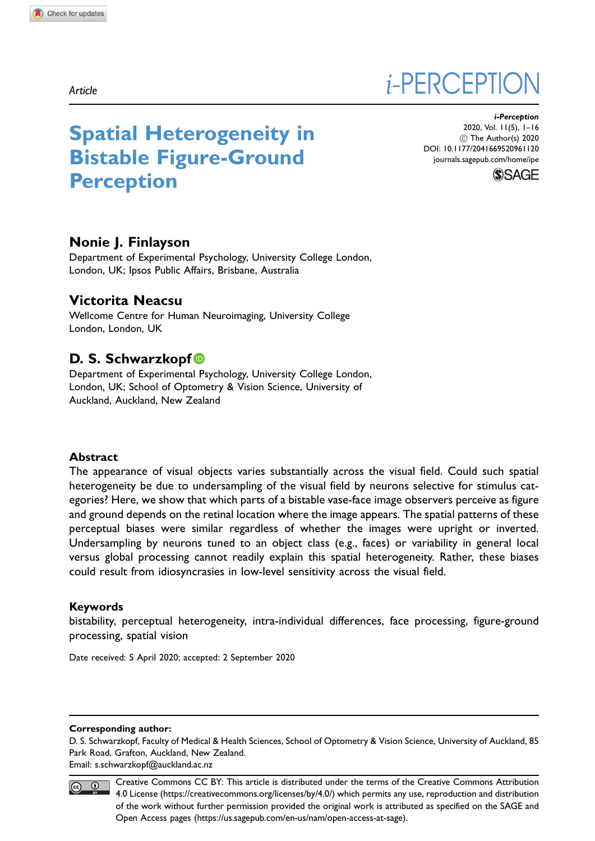Article

*i*-PERCEPTION

# Spatial Heterogeneity in Bistable Figure-Ground Perception

i-Perception 2020, Vol. 11(5), 1–16 (C) The Author(s) 2020 [DOI: 10.1177/2041669520961120](http://dx.doi.org/10.1177/2041669520961120) <journals.sagepub.com/home/ipe>



# Nonie J. Finlayson

Department of Experimental Psychology, University College London, London, UK; Ipsos Public Affairs, Brisbane, Australia

# Victorita Neacsu

Wellcome Centre for Human Neuroimaging, University College London, London, UK

# D. S. Schwarzkopf<sup>®</sup>

Department of Experimental Psychology, University College London, London, UK; School of Optometry & Vision Science, University of Auckland, Auckland, New Zealand

## **Abstract**

The appearance of visual objects varies substantially across the visual field. Could such spatial heterogeneity be due to undersampling of the visual field by neurons selective for stimulus categories? Here, we show that which parts of a bistable vase-face image observers perceive as figure and ground depends on the retinal location where the image appears. The spatial patterns of these perceptual biases were similar regardless of whether the images were upright or inverted. Undersampling by neurons tuned to an object class (e.g., faces) or variability in general local versus global processing cannot readily explain this spatial heterogeneity. Rather, these biases could result from idiosyncrasies in low-level sensitivity across the visual field.

#### Keywords

bistability, perceptual heterogeneity, intra-individual differences, face processing, figure-ground processing, spatial vision

Date received: 5 April 2020; accepted: 2 September 2020

#### Corresponding author:

D. S. Schwarzkopf, Faculty of Medical & Health Sciences, School of Optometry & Vision Science, University of Auckland, 85 Park Road, Grafton, Auckland, New Zealand.

Email: [s.schwarzkopf@auckland.ac.nz](mailto:s.schwarzkopf@auckland.ac.nz)



Creative Commons CC BY: This article is distributed under the terms of the Creative Commons Attribution 4.0 License (https://creativecommons.org/licenses/by/4.0/) which permits any use, reproduction and distribution of the work without further permission provided the original work is attributed as specified on the SAGE and Open Access pages (https://us.sagepub.com/en-us/nam/open-access-at-sage).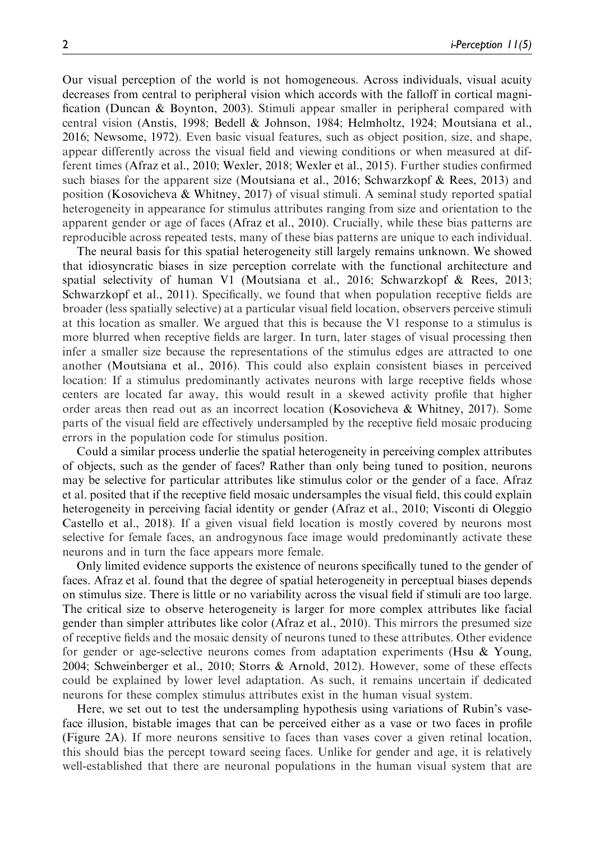Our visual perception of the world is not homogeneous. Across individuals, visual acuity decreases from central to peripheral vision which accords with the falloff in cortical magnification (Duncan & Boynton, 2003). Stimuli appear smaller in peripheral compared with central vision (Anstis, 1998; Bedell & Johnson, 1984; Helmholtz, 1924; Moutsiana et al., 2016; Newsome, 1972). Even basic visual features, such as object position, size, and shape, appear differently across the visual field and viewing conditions or when measured at different times (Afraz et al., 2010; Wexler, 2018; Wexler et al., 2015). Further studies confirmed such biases for the apparent size (Moutsiana et al., 2016; Schwarzkopf & Rees, 2013) and position (Kosovicheva & Whitney, 2017) of visual stimuli. A seminal study reported spatial heterogeneity in appearance for stimulus attributes ranging from size and orientation to the apparent gender or age of faces (Afraz et al., 2010). Crucially, while these bias patterns are reproducible across repeated tests, many of these bias patterns are unique to each individual.

The neural basis for this spatial heterogeneity still largely remains unknown. We showed that idiosyncratic biases in size perception correlate with the functional architecture and spatial selectivity of human V1 (Moutsiana et al., 2016; Schwarzkopf & Rees, 2013; Schwarzkopf et al., 2011). Specifically, we found that when population receptive fields are broader (less spatially selective) at a particular visual field location, observers perceive stimuli at this location as smaller. We argued that this is because the V1 response to a stimulus is more blurred when receptive fields are larger. In turn, later stages of visual processing then infer a smaller size because the representations of the stimulus edges are attracted to one another (Moutsiana et al., 2016). This could also explain consistent biases in perceived location: If a stimulus predominantly activates neurons with large receptive fields whose centers are located far away, this would result in a skewed activity profile that higher order areas then read out as an incorrect location (Kosovicheva & Whitney, 2017). Some parts of the visual field are effectively undersampled by the receptive field mosaic producing errors in the population code for stimulus position.

Could a similar process underlie the spatial heterogeneity in perceiving complex attributes of objects, such as the gender of faces? Rather than only being tuned to position, neurons may be selective for particular attributes like stimulus color or the gender of a face. Afraz et al. posited that if the receptive field mosaic undersamples the visual field, this could explain heterogeneity in perceiving facial identity or gender (Afraz et al., 2010; Visconti di Oleggio Castello et al., 2018). If a given visual field location is mostly covered by neurons most selective for female faces, an androgynous face image would predominantly activate these neurons and in turn the face appears more female.

Only limited evidence supports the existence of neurons specifically tuned to the gender of faces. Afraz et al. found that the degree of spatial heterogeneity in perceptual biases depends on stimulus size. There is little or no variability across the visual field if stimuli are too large. The critical size to observe heterogeneity is larger for more complex attributes like facial gender than simpler attributes like color (Afraz et al., 2010). This mirrors the presumed size of receptive fields and the mosaic density of neurons tuned to these attributes. Other evidence for gender or age-selective neurons comes from adaptation experiments (Hsu & Young, 2004; Schweinberger et al., 2010; Storrs & Arnold, 2012). However, some of these effects could be explained by lower level adaptation. As such, it remains uncertain if dedicated neurons for these complex stimulus attributes exist in the human visual system.

Here, we set out to test the undersampling hypothesis using variations of Rubin's vaseface illusion, bistable images that can be perceived either as a vase or two faces in profile (Figure 2A). If more neurons sensitive to faces than vases cover a given retinal location, this should bias the percept toward seeing faces. Unlike for gender and age, it is relatively well-established that there are neuronal populations in the human visual system that are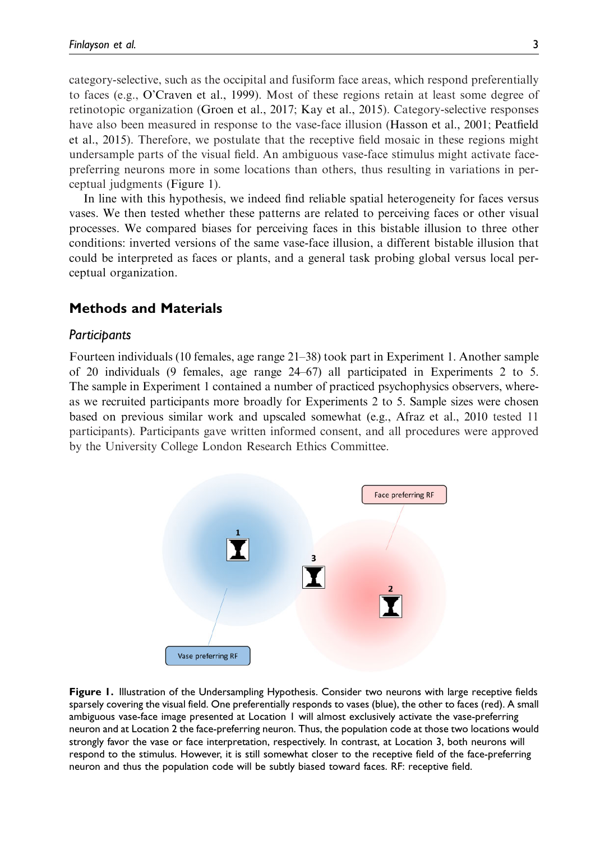category-selective, such as the occipital and fusiform face areas, which respond preferentially to faces (e.g., O'Craven et al., 1999). Most of these regions retain at least some degree of retinotopic organization (Groen et al., 2017; Kay et al., 2015). Category-selective responses have also been measured in response to the vase-face illusion (Hasson et al., 2001; Peatfield et al., 2015). Therefore, we postulate that the receptive field mosaic in these regions might undersample parts of the visual field. An ambiguous vase-face stimulus might activate facepreferring neurons more in some locations than others, thus resulting in variations in perceptual judgments (Figure 1).

In line with this hypothesis, we indeed find reliable spatial heterogeneity for faces versus vases. We then tested whether these patterns are related to perceiving faces or other visual processes. We compared biases for perceiving faces in this bistable illusion to three other conditions: inverted versions of the same vase-face illusion, a different bistable illusion that could be interpreted as faces or plants, and a general task probing global versus local perceptual organization.

## Methods and Materials

#### **Participants**

Fourteen individuals (10 females, age range 21–38) took part in Experiment 1. Another sample of 20 individuals (9 females, age range 24–67) all participated in Experiments 2 to 5. The sample in Experiment 1 contained a number of practiced psychophysics observers, whereas we recruited participants more broadly for Experiments 2 to 5. Sample sizes were chosen based on previous similar work and upscaled somewhat (e.g., Afraz et al., 2010 tested 11 participants). Participants gave written informed consent, and all procedures were approved by the University College London Research Ethics Committee.



Figure 1. Illustration of the Undersampling Hypothesis. Consider two neurons with large receptive fields sparsely covering the visual field. One preferentially responds to vases (blue), the other to faces (red). A small ambiguous vase-face image presented at Location 1 will almost exclusively activate the vase-preferring neuron and at Location 2 the face-preferring neuron. Thus, the population code at those two locations would strongly favor the vase or face interpretation, respectively. In contrast, at Location 3, both neurons will respond to the stimulus. However, it is still somewhat closer to the receptive field of the face-preferring neuron and thus the population code will be subtly biased toward faces. RF: receptive field.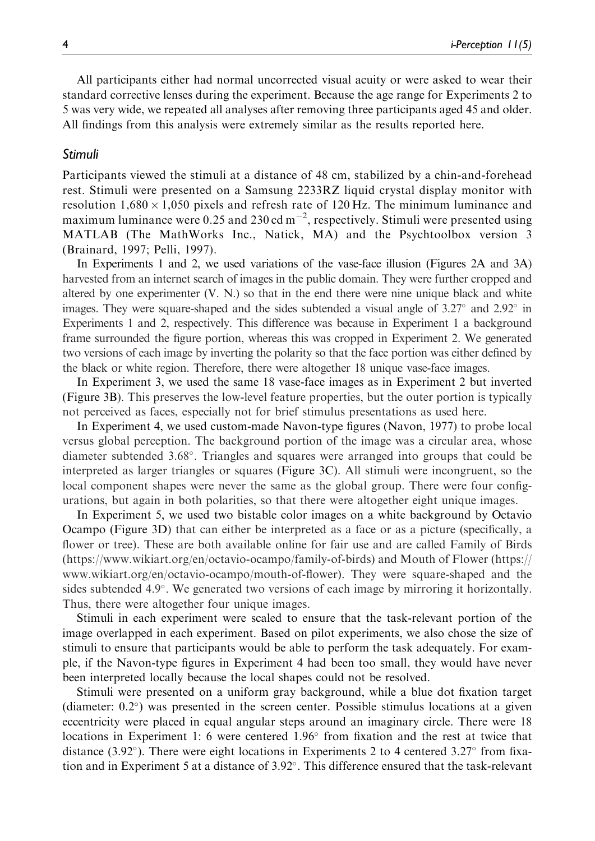All participants either had normal uncorrected visual acuity or were asked to wear their standard corrective lenses during the experiment. Because the age range for Experiments 2 to 5 was very wide, we repeated all analyses after removing three participants aged 45 and older. All findings from this analysis were extremely similar as the results reported here.

## Stimuli

Participants viewed the stimuli at a distance of 48 cm, stabilized by a chin-and-forehead rest. Stimuli were presented on a Samsung 2233RZ liquid crystal display monitor with resolution  $1,680 \times 1,050$  pixels and refresh rate of 120 Hz. The minimum luminance and maximum luminance were 0.25 and 230 cd  $m^{-2}$ , respectively. Stimuli were presented using MATLAB (The MathWorks Inc., Natick, MA) and the Psychtoolbox version 3 (Brainard, 1997; Pelli, 1997).

In Experiments 1 and 2, we used variations of the vase-face illusion (Figures 2A and 3A) harvested from an internet search of images in the public domain. They were further cropped and altered by one experimenter (V. N.) so that in the end there were nine unique black and white images. They were square-shaped and the sides subtended a visual angle of  $3.27^{\circ}$  and  $2.92^{\circ}$  in Experiments 1 and 2, respectively. This difference was because in Experiment 1 a background frame surrounded the figure portion, whereas this was cropped in Experiment 2. We generated two versions of each image by inverting the polarity so that the face portion was either defined by the black or white region. Therefore, there were altogether 18 unique vase-face images.

In Experiment 3, we used the same 18 vase-face images as in Experiment 2 but inverted (Figure 3B). This preserves the low-level feature properties, but the outer portion is typically not perceived as faces, especially not for brief stimulus presentations as used here.

In Experiment 4, we used custom-made Navon-type figures (Navon, 1977) to probe local versus global perception. The background portion of the image was a circular area, whose diameter subtended 3.68. Triangles and squares were arranged into groups that could be interpreted as larger triangles or squares (Figure 3C). All stimuli were incongruent, so the local component shapes were never the same as the global group. There were four configurations, but again in both polarities, so that there were altogether eight unique images.

In Experiment 5, we used two bistable color images on a white background by Octavio Ocampo (Figure 3D) that can either be interpreted as a face or as a picture (specifically, a flower or tree). These are both available online for fair use and are called Family of Birds (<https://www.wikiart.org/en/octavio-ocampo/family-of-birds>) and Mouth of Flower ([https://](https://www.wikiart.org/en/octavio-ocampo/mouth-of-flower) [www.wikiart.org/en/octavio-ocampo/mouth-of-flower](https://www.wikiart.org/en/octavio-ocampo/mouth-of-flower)). They were square-shaped and the sides subtended 4.9. We generated two versions of each image by mirroring it horizontally. Thus, there were altogether four unique images.

Stimuli in each experiment were scaled to ensure that the task-relevant portion of the image overlapped in each experiment. Based on pilot experiments, we also chose the size of stimuli to ensure that participants would be able to perform the task adequately. For example, if the Navon-type figures in Experiment 4 had been too small, they would have never been interpreted locally because the local shapes could not be resolved.

Stimuli were presented on a uniform gray background, while a blue dot fixation target (diameter:  $0.2^{\circ}$ ) was presented in the screen center. Possible stimulus locations at a given eccentricity were placed in equal angular steps around an imaginary circle. There were 18 locations in Experiment 1: 6 were centered  $1.96^{\circ}$  from fixation and the rest at twice that distance (3.92 $^{\circ}$ ). There were eight locations in Experiments 2 to 4 centered 3.27 $^{\circ}$  from fixation and in Experiment 5 at a distance of 3.92. This difference ensured that the task-relevant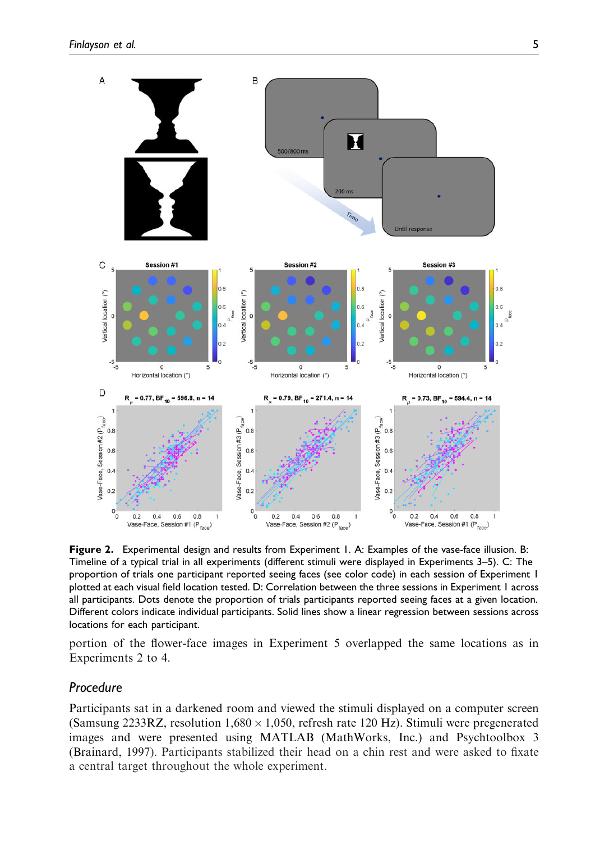

Figure 2. Experimental design and results from Experiment 1. A: Examples of the vase-face illusion. B: Timeline of a typical trial in all experiments (different stimuli were displayed in Experiments 3–5). C: The proportion of trials one participant reported seeing faces (see color code) in each session of Experiment 1 plotted at each visual field location tested. D: Correlation between the three sessions in Experiment 1 across all participants. Dots denote the proportion of trials participants reported seeing faces at a given location. Different colors indicate individual participants. Solid lines show a linear regression between sessions across locations for each participant.

portion of the flower-face images in Experiment 5 overlapped the same locations as in Experiments 2 to 4.

## Procedure

Participants sat in a darkened room and viewed the stimuli displayed on a computer screen (Samsung 2233RZ, resolution  $1,680 \times 1,050$ , refresh rate 120 Hz). Stimuli were pregenerated images and were presented using MATLAB (MathWorks, Inc.) and Psychtoolbox 3 (Brainard, 1997). Participants stabilized their head on a chin rest and were asked to fixate a central target throughout the whole experiment.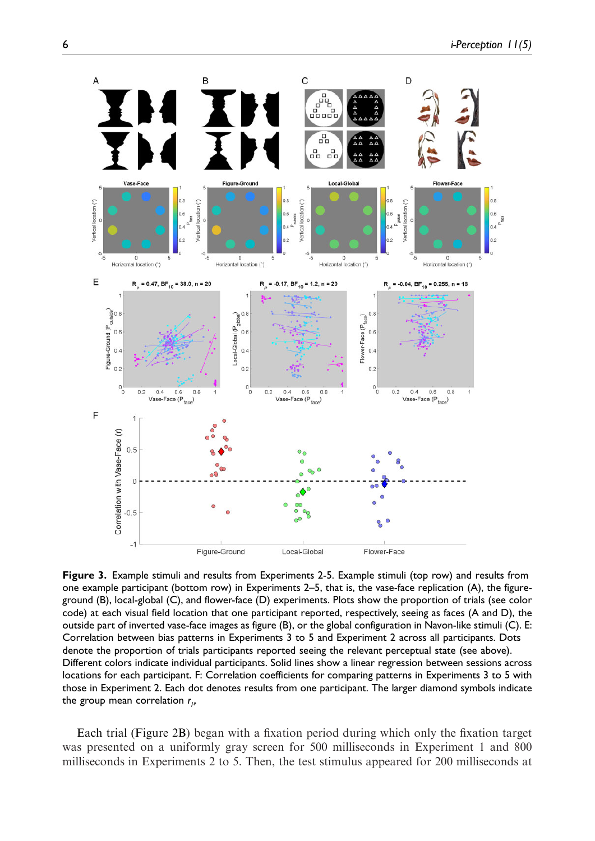

Figure 3. Example stimuli and results from Experiments 2-5. Example stimuli (top row) and results from one example participant (bottom row) in Experiments 2–5, that is, the vase-face replication (A), the figureground (B), local-global (C), and flower-face (D) experiments. Plots show the proportion of trials (see color code) at each visual field location that one participant reported, respectively, seeing as faces (A and D), the outside part of inverted vase-face images as figure (B), or the global configuration in Navon-like stimuli (C). E: Correlation between bias patterns in Experiments 3 to 5 and Experiment 2 across all participants. Dots denote the proportion of trials participants reported seeing the relevant perceptual state (see above). Different colors indicate individual participants. Solid lines show a linear regression between sessions across locations for each participant. F: Correlation coefficients for comparing patterns in Experiments 3 to 5 with those in Experiment 2. Each dot denotes results from one participant. The larger diamond symbols indicate the group mean correlation  $r_{\mu}$ .

Each trial (Figure 2B) began with a fixation period during which only the fixation target was presented on a uniformly gray screen for 500 milliseconds in Experiment 1 and 800 milliseconds in Experiments 2 to 5. Then, the test stimulus appeared for 200 milliseconds at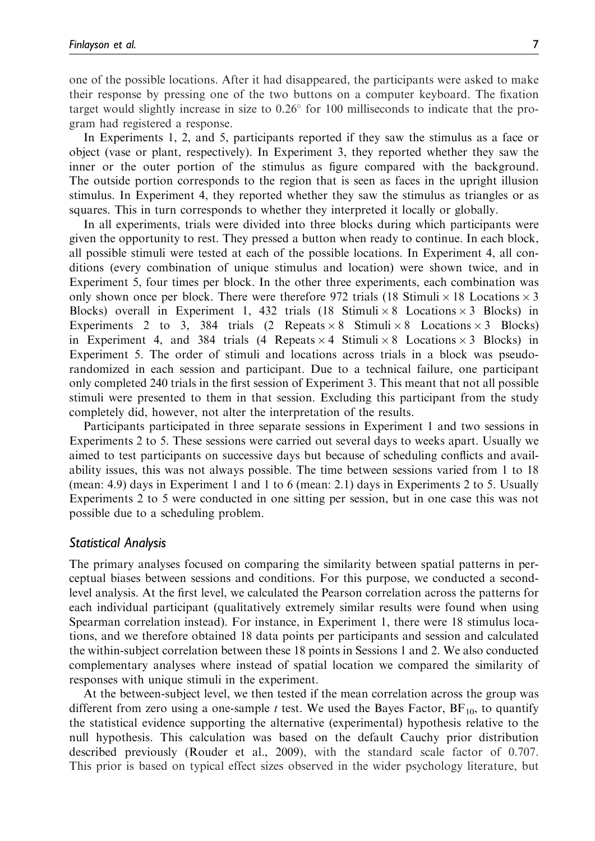one of the possible locations. After it had disappeared, the participants were asked to make their response by pressing one of the two buttons on a computer keyboard. The fixation target would slightly increase in size to  $0.26^{\circ}$  for 100 milliseconds to indicate that the program had registered a response.

In Experiments 1, 2, and 5, participants reported if they saw the stimulus as a face or object (vase or plant, respectively). In Experiment 3, they reported whether they saw the inner or the outer portion of the stimulus as figure compared with the background. The outside portion corresponds to the region that is seen as faces in the upright illusion stimulus. In Experiment 4, they reported whether they saw the stimulus as triangles or as squares. This in turn corresponds to whether they interpreted it locally or globally.

In all experiments, trials were divided into three blocks during which participants were given the opportunity to rest. They pressed a button when ready to continue. In each block, all possible stimuli were tested at each of the possible locations. In Experiment 4, all conditions (every combination of unique stimulus and location) were shown twice, and in Experiment 5, four times per block. In the other three experiments, each combination was only shown once per block. There were therefore 972 trials (18 Stimuli  $\times$  18 Locations  $\times$  3 Blocks) overall in Experiment 1, 432 trials (18 Stimuli  $\times$  8 Locations  $\times$  3 Blocks) in Experiments 2 to 3, 384 trials (2 Repeats  $\times$  8 Stimuli  $\times$  8 Locations  $\times$  3 Blocks) in Experiment 4, and 384 trials (4 Repeats  $\times$  4 Stimuli  $\times$  8 Locations  $\times$  3 Blocks) in Experiment 5. The order of stimuli and locations across trials in a block was pseudorandomized in each session and participant. Due to a technical failure, one participant only completed 240 trials in the first session of Experiment 3. This meant that not all possible stimuli were presented to them in that session. Excluding this participant from the study completely did, however, not alter the interpretation of the results.

Participants participated in three separate sessions in Experiment 1 and two sessions in Experiments 2 to 5. These sessions were carried out several days to weeks apart. Usually we aimed to test participants on successive days but because of scheduling conflicts and availability issues, this was not always possible. The time between sessions varied from 1 to 18 (mean: 4.9) days in Experiment 1 and 1 to 6 (mean: 2.1) days in Experiments 2 to 5. Usually Experiments 2 to 5 were conducted in one sitting per session, but in one case this was not possible due to a scheduling problem.

#### Statistical Analysis

The primary analyses focused on comparing the similarity between spatial patterns in perceptual biases between sessions and conditions. For this purpose, we conducted a secondlevel analysis. At the first level, we calculated the Pearson correlation across the patterns for each individual participant (qualitatively extremely similar results were found when using Spearman correlation instead). For instance, in Experiment 1, there were 18 stimulus locations, and we therefore obtained 18 data points per participants and session and calculated the within-subject correlation between these 18 points in Sessions 1 and 2. We also conducted complementary analyses where instead of spatial location we compared the similarity of responses with unique stimuli in the experiment.

At the between-subject level, we then tested if the mean correlation across the group was different from zero using a one-sample t test. We used the Bayes Factor,  $BF_{10}$ , to quantify the statistical evidence supporting the alternative (experimental) hypothesis relative to the null hypothesis. This calculation was based on the default Cauchy prior distribution described previously (Rouder et al., 2009), with the standard scale factor of 0.707. This prior is based on typical effect sizes observed in the wider psychology literature, but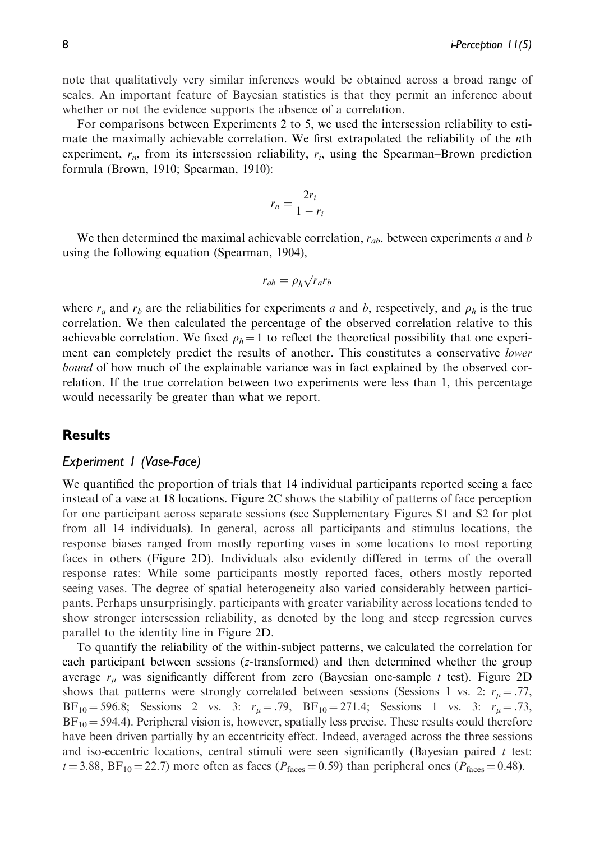note that qualitatively very similar inferences would be obtained across a broad range of scales. An important feature of Bayesian statistics is that they permit an inference about whether or not the evidence supports the absence of a correlation.

For comparisons between Experiments 2 to 5, we used the intersession reliability to estimate the maximally achievable correlation. We first extrapolated the reliability of the nth experiment,  $r_n$ , from its intersession reliability,  $r_i$ , using the Spearman–Brown prediction formula (Brown, 1910; Spearman, 1910):

$$
r_n = \frac{2r_i}{1 - r_i}
$$

We then determined the maximal achievable correlation,  $r_{ab}$ , between experiments a and b using the following equation (Spearman, 1904),

$$
r_{ab} = \rho_h \sqrt{r_a r_b}
$$

where  $r_a$  and  $r_b$  are the reliabilities for experiments a and b, respectively, and  $\rho_h$  is the true correlation. We then calculated the percentage of the observed correlation relative to this achievable correlation. We fixed  $\rho_h = 1$  to reflect the theoretical possibility that one experiment can completely predict the results of another. This constitutes a conservative lower bound of how much of the explainable variance was in fact explained by the observed correlation. If the true correlation between two experiments were less than 1, this percentage would necessarily be greater than what we report.

## **Results**

#### Experiment 1 (Vase-Face)

We quantified the proportion of trials that 14 individual participants reported seeing a face instead of a vase at 18 locations. Figure 2C shows the stability of patterns of face perception for one participant across separate sessions (see Supplementary Figures S1 and S2 for plot from all 14 individuals). In general, across all participants and stimulus locations, the response biases ranged from mostly reporting vases in some locations to most reporting faces in others (Figure 2D). Individuals also evidently differed in terms of the overall response rates: While some participants mostly reported faces, others mostly reported seeing vases. The degree of spatial heterogeneity also varied considerably between participants. Perhaps unsurprisingly, participants with greater variability across locations tended to show stronger intersession reliability, as denoted by the long and steep regression curves parallel to the identity line in Figure 2D.

To quantify the reliability of the within-subject patterns, we calculated the correlation for each participant between sessions (z-transformed) and then determined whether the group average  $r_{\mu}$  was significantly different from zero (Bayesian one-sample t test). Figure 2D shows that patterns were strongly correlated between sessions (Sessions 1 vs. 2:  $r_u = .77$ ,  $BF_{10} = 596.8$ ; Sessions 2 vs. 3:  $r_{\mu} = .79$ ,  $BF_{10} = 271.4$ ; Sessions 1 vs. 3:  $r_{\mu} = .73$ ,  $BF_{10} = 594.4$ ). Peripheral vision is, however, spatially less precise. These results could therefore have been driven partially by an eccentricity effect. Indeed, averaged across the three sessions and iso-eccentric locations, central stimuli were seen significantly (Bayesian paired  $t$  test:  $t = 3.88$ ,  $BF_{10} = 22.7$ ) more often as faces ( $P_{faces} = 0.59$ ) than peripheral ones ( $P_{faces} = 0.48$ ).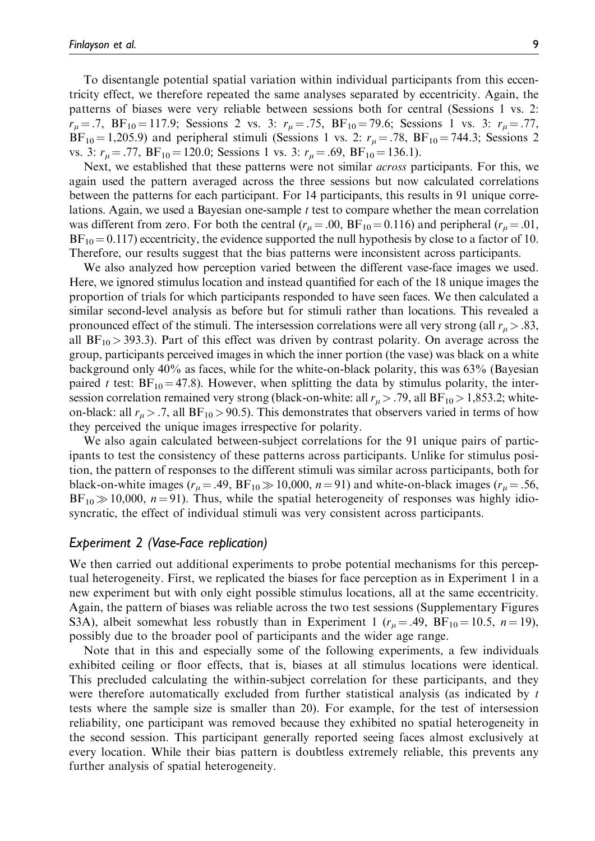To disentangle potential spatial variation within individual participants from this eccentricity effect, we therefore repeated the same analyses separated by eccentricity. Again, the patterns of biases were very reliable between sessions both for central (Sessions 1 vs. 2:  $r_{\mu} = .7$ ,  $BF_{10} = 117.9$ ; Sessions 2 vs. 3:  $r_{\mu} = .75$ ,  $BF_{10} = 79.6$ ; Sessions 1 vs. 3:  $r_{\mu} = .77$ ,  $BF_{10} = 1,205.9$ ) and peripheral stimuli (Sessions 1 vs. 2:  $r_u = .78$ ,  $BF_{10} = 744.3$ ; Sessions 2 vs. 3:  $r_{\mu} = .77$ ,  $BF_{10} = 120.0$ ; Sessions 1 vs. 3:  $r_{\mu} = .69$ ,  $BF_{10} = 136.1$ ).

Next, we established that these patterns were not similar across participants. For this, we again used the pattern averaged across the three sessions but now calculated correlations between the patterns for each participant. For 14 participants, this results in 91 unique correlations. Again, we used a Bayesian one-sample  $t$  test to compare whether the mean correlation was different from zero. For both the central  $(r_{\mu} = .00, BF_{10} = 0.116)$  and peripheral  $(r_{\mu} = .01,$  $BF_{10} = 0.117$ ) eccentricity, the evidence supported the null hypothesis by close to a factor of 10. Therefore, our results suggest that the bias patterns were inconsistent across participants.

We also analyzed how perception varied between the different vase-face images we used. Here, we ignored stimulus location and instead quantified for each of the 18 unique images the proportion of trials for which participants responded to have seen faces. We then calculated a similar second-level analysis as before but for stimuli rather than locations. This revealed a pronounced effect of the stimuli. The intersession correlations were all very strong (all  $r_u > .83$ , all  $BF_{10} > 393.3$ ). Part of this effect was driven by contrast polarity. On average across the group, participants perceived images in which the inner portion (the vase) was black on a white background only 40% as faces, while for the white-on-black polarity, this was 63% (Bayesian paired t test:  $BF_{10} = 47.8$ ). However, when splitting the data by stimulus polarity, the intersession correlation remained very strong (black-on-white: all  $r_u > .79$ , all  $BF_{10} > 1,853.2$ ; whiteon-black: all  $r_u > .7$ , all  $BF_{10} > 90.5$ ). This demonstrates that observers varied in terms of how they perceived the unique images irrespective for polarity.

We also again calculated between-subject correlations for the 91 unique pairs of participants to test the consistency of these patterns across participants. Unlike for stimulus position, the pattern of responses to the different stimuli was similar across participants, both for black-on-white images ( $r_{\mu} = .49$ ,  $BF_{10} \gg 10,000$ ,  $n = 91$ ) and white-on-black images ( $r_{\mu} = .56$ ,  $BF_{10} \gg 10,000$ ,  $n = 91$ ). Thus, while the spatial heterogeneity of responses was highly idiosyncratic, the effect of individual stimuli was very consistent across participants.

## Experiment 2 (Vase-Face replication)

We then carried out additional experiments to probe potential mechanisms for this perceptual heterogeneity. First, we replicated the biases for face perception as in Experiment 1 in a new experiment but with only eight possible stimulus locations, all at the same eccentricity. Again, the pattern of biases was reliable across the two test sessions (Supplementary Figures S3A), albeit somewhat less robustly than in Experiment 1 ( $r_{\mu} = .49$ , BF<sub>10</sub> = 10.5, n = 19), possibly due to the broader pool of participants and the wider age range.

Note that in this and especially some of the following experiments, a few individuals exhibited ceiling or floor effects, that is, biases at all stimulus locations were identical. This precluded calculating the within-subject correlation for these participants, and they were therefore automatically excluded from further statistical analysis (as indicated by  $t$ tests where the sample size is smaller than 20). For example, for the test of intersession reliability, one participant was removed because they exhibited no spatial heterogeneity in the second session. This participant generally reported seeing faces almost exclusively at every location. While their bias pattern is doubtless extremely reliable, this prevents any further analysis of spatial heterogeneity.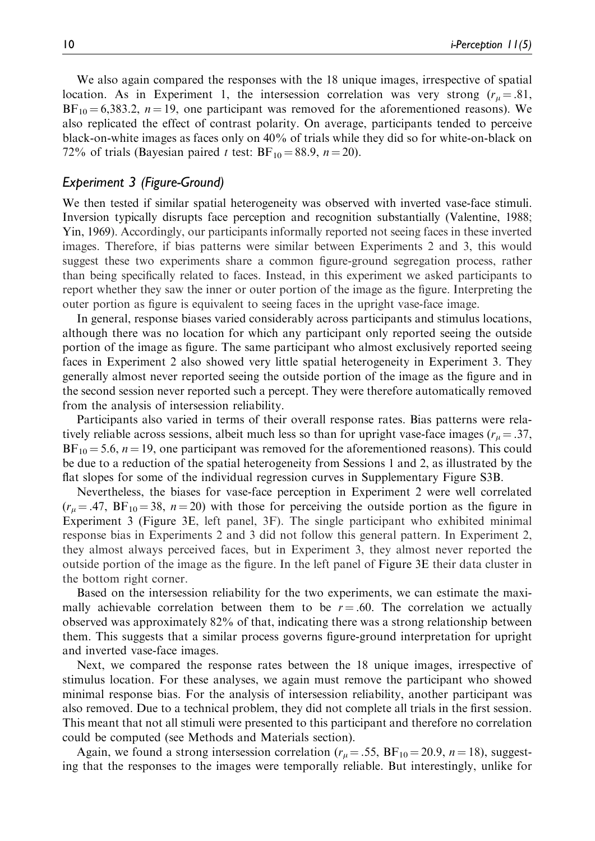We also again compared the responses with the 18 unique images, irrespective of spatial location. As in Experiment 1, the intersession correlation was very strong  $(r_u = .81, ...)$  $BF_{10} = 6,383.2, n = 19$ , one participant was removed for the aforementioned reasons). We also replicated the effect of contrast polarity. On average, participants tended to perceive black-on-white images as faces only on 40% of trials while they did so for white-on-black on 72% of trials (Bayesian paired t test:  $BF_{10} = 88.9$ ,  $n = 20$ ).

## Experiment 3 (Figure-Ground)

We then tested if similar spatial heterogeneity was observed with inverted vase-face stimuli. Inversion typically disrupts face perception and recognition substantially (Valentine, 1988; Yin, 1969). Accordingly, our participants informally reported not seeing faces in these inverted images. Therefore, if bias patterns were similar between Experiments 2 and 3, this would suggest these two experiments share a common figure-ground segregation process, rather than being specifically related to faces. Instead, in this experiment we asked participants to report whether they saw the inner or outer portion of the image as the figure. Interpreting the outer portion as figure is equivalent to seeing faces in the upright vase-face image.

In general, response biases varied considerably across participants and stimulus locations, although there was no location for which any participant only reported seeing the outside portion of the image as figure. The same participant who almost exclusively reported seeing faces in Experiment 2 also showed very little spatial heterogeneity in Experiment 3. They generally almost never reported seeing the outside portion of the image as the figure and in the second session never reported such a percept. They were therefore automatically removed from the analysis of intersession reliability.

Participants also varied in terms of their overall response rates. Bias patterns were relatively reliable across sessions, albeit much less so than for upright vase-face images ( $r_u = .37$ ,  $BF_{10} = 5.6$ ,  $n = 19$ , one participant was removed for the aforementioned reasons). This could be due to a reduction of the spatial heterogeneity from Sessions 1 and 2, as illustrated by the flat slopes for some of the individual regression curves in Supplementary Figure S3B.

Nevertheless, the biases for vase-face perception in Experiment 2 were well correlated  $(r_u = .47, BF_{10} = 38, n = 20)$  with those for perceiving the outside portion as the figure in Experiment 3 (Figure 3E, left panel, 3F). The single participant who exhibited minimal response bias in Experiments 2 and 3 did not follow this general pattern. In Experiment 2, they almost always perceived faces, but in Experiment 3, they almost never reported the outside portion of the image as the figure. In the left panel of Figure 3E their data cluster in the bottom right corner.

Based on the intersession reliability for the two experiments, we can estimate the maximally achievable correlation between them to be  $r = .60$ . The correlation we actually observed was approximately 82% of that, indicating there was a strong relationship between them. This suggests that a similar process governs figure-ground interpretation for upright and inverted vase-face images.

Next, we compared the response rates between the 18 unique images, irrespective of stimulus location. For these analyses, we again must remove the participant who showed minimal response bias. For the analysis of intersession reliability, another participant was also removed. Due to a technical problem, they did not complete all trials in the first session. This meant that not all stimuli were presented to this participant and therefore no correlation could be computed (see Methods and Materials section).

Again, we found a strong intersession correlation ( $r_u = .55$ , BF<sub>10</sub> = 20.9, n = 18), suggesting that the responses to the images were temporally reliable. But interestingly, unlike for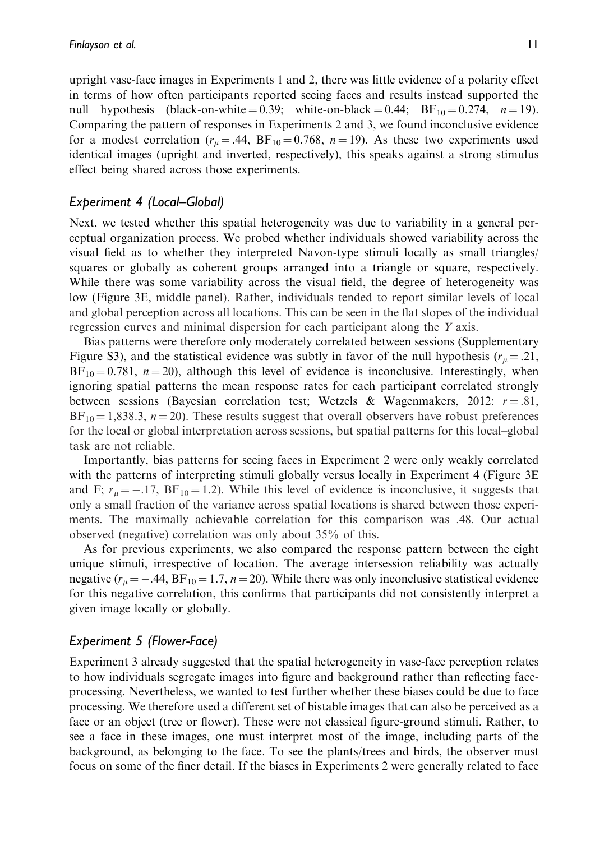upright vase-face images in Experiments 1 and 2, there was little evidence of a polarity effect in terms of how often participants reported seeing faces and results instead supported the null hypothesis (black-on-white = 0.39; white-on-black = 0.44;  $BF_{10} = 0.274$ ,  $n = 19$ ). Comparing the pattern of responses in Experiments 2 and 3, we found inconclusive evidence for a modest correlation ( $r_{\mu} = .44$ ,  $BF_{10} = 0.768$ ,  $n = 19$ ). As these two experiments used identical images (upright and inverted, respectively), this speaks against a strong stimulus effect being shared across those experiments.

## Experiment 4 (Local–Global)

Next, we tested whether this spatial heterogeneity was due to variability in a general perceptual organization process. We probed whether individuals showed variability across the visual field as to whether they interpreted Navon-type stimuli locally as small triangles/ squares or globally as coherent groups arranged into a triangle or square, respectively. While there was some variability across the visual field, the degree of heterogeneity was low (Figure 3E, middle panel). Rather, individuals tended to report similar levels of local and global perception across all locations. This can be seen in the flat slopes of the individual regression curves and minimal dispersion for each participant along the Y axis.

Bias patterns were therefore only moderately correlated between sessions (Supplementary Figure S3), and the statistical evidence was subtly in favor of the null hypothesis ( $r_u = .21$ ,  $BF_{10} = 0.781$ ,  $n = 20$ ), although this level of evidence is inconclusive. Interestingly, when ignoring spatial patterns the mean response rates for each participant correlated strongly between sessions (Bayesian correlation test; Wetzels & Wagenmakers, 2012:  $r = .81$ .  $BF_{10} = 1,838.3, n = 20$ . These results suggest that overall observers have robust preferences for the local or global interpretation across sessions, but spatial patterns for this local–global task are not reliable.

Importantly, bias patterns for seeing faces in Experiment 2 were only weakly correlated with the patterns of interpreting stimuli globally versus locally in Experiment 4 (Figure 3E and F;  $r_{\mu} = -17$ , BF<sub>10</sub> = 1.2). While this level of evidence is inconclusive, it suggests that only a small fraction of the variance across spatial locations is shared between those experiments. The maximally achievable correlation for this comparison was .48. Our actual observed (negative) correlation was only about 35% of this.

As for previous experiments, we also compared the response pattern between the eight unique stimuli, irrespective of location. The average intersession reliability was actually negative ( $r_{\mu} = -.44$ , BF<sub>10</sub> = 1.7, n = 20). While there was only inconclusive statistical evidence for this negative correlation, this confirms that participants did not consistently interpret a given image locally or globally.

# Experiment 5 (Flower-Face)

Experiment 3 already suggested that the spatial heterogeneity in vase-face perception relates to how individuals segregate images into figure and background rather than reflecting faceprocessing. Nevertheless, we wanted to test further whether these biases could be due to face processing. We therefore used a different set of bistable images that can also be perceived as a face or an object (tree or flower). These were not classical figure-ground stimuli. Rather, to see a face in these images, one must interpret most of the image, including parts of the background, as belonging to the face. To see the plants/trees and birds, the observer must focus on some of the finer detail. If the biases in Experiments 2 were generally related to face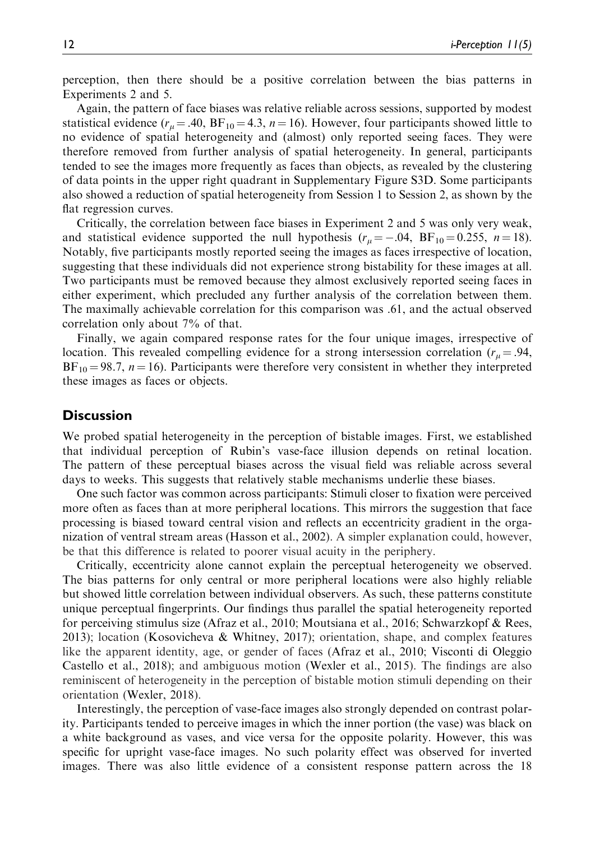perception, then there should be a positive correlation between the bias patterns in Experiments 2 and 5.

Again, the pattern of face biases was relative reliable across sessions, supported by modest statistical evidence ( $r_u = .40$ ,  $BF_{10} = 4.3$ ,  $n = 16$ ). However, four participants showed little to no evidence of spatial heterogeneity and (almost) only reported seeing faces. They were therefore removed from further analysis of spatial heterogeneity. In general, participants tended to see the images more frequently as faces than objects, as revealed by the clustering of data points in the upper right quadrant in Supplementary Figure S3D. Some participants also showed a reduction of spatial heterogeneity from Session 1 to Session 2, as shown by the flat regression curves.

Critically, the correlation between face biases in Experiment 2 and 5 was only very weak, and statistical evidence supported the null hypothesis  $(r_u = -.04, BF_{10} = 0.255, n = 18)$ . Notably, five participants mostly reported seeing the images as faces irrespective of location, suggesting that these individuals did not experience strong bistability for these images at all. Two participants must be removed because they almost exclusively reported seeing faces in either experiment, which precluded any further analysis of the correlation between them. The maximally achievable correlation for this comparison was .61, and the actual observed correlation only about 7% of that.

Finally, we again compared response rates for the four unique images, irrespective of location. This revealed compelling evidence for a strong intersession correlation  $(r_{\mu} = .94, ...)$  $BF_{10} = 98.7$ ,  $n = 16$ ). Participants were therefore very consistent in whether they interpreted these images as faces or objects.

## **Discussion**

We probed spatial heterogeneity in the perception of bistable images. First, we established that individual perception of Rubin's vase-face illusion depends on retinal location. The pattern of these perceptual biases across the visual field was reliable across several days to weeks. This suggests that relatively stable mechanisms underlie these biases.

One such factor was common across participants: Stimuli closer to fixation were perceived more often as faces than at more peripheral locations. This mirrors the suggestion that face processing is biased toward central vision and reflects an eccentricity gradient in the organization of ventral stream areas (Hasson et al., 2002). A simpler explanation could, however, be that this difference is related to poorer visual acuity in the periphery.

Critically, eccentricity alone cannot explain the perceptual heterogeneity we observed. The bias patterns for only central or more peripheral locations were also highly reliable but showed little correlation between individual observers. As such, these patterns constitute unique perceptual fingerprints. Our findings thus parallel the spatial heterogeneity reported for perceiving stimulus size (Afraz et al., 2010; Moutsiana et al., 2016; Schwarzkopf & Rees, 2013); location (Kosovicheva & Whitney, 2017); orientation, shape, and complex features like the apparent identity, age, or gender of faces (Afraz et al., 2010; Visconti di Oleggio Castello et al., 2018); and ambiguous motion (Wexler et al., 2015). The findings are also reminiscent of heterogeneity in the perception of bistable motion stimuli depending on their orientation (Wexler, 2018).

Interestingly, the perception of vase-face images also strongly depended on contrast polarity. Participants tended to perceive images in which the inner portion (the vase) was black on a white background as vases, and vice versa for the opposite polarity. However, this was specific for upright vase-face images. No such polarity effect was observed for inverted images. There was also little evidence of a consistent response pattern across the 18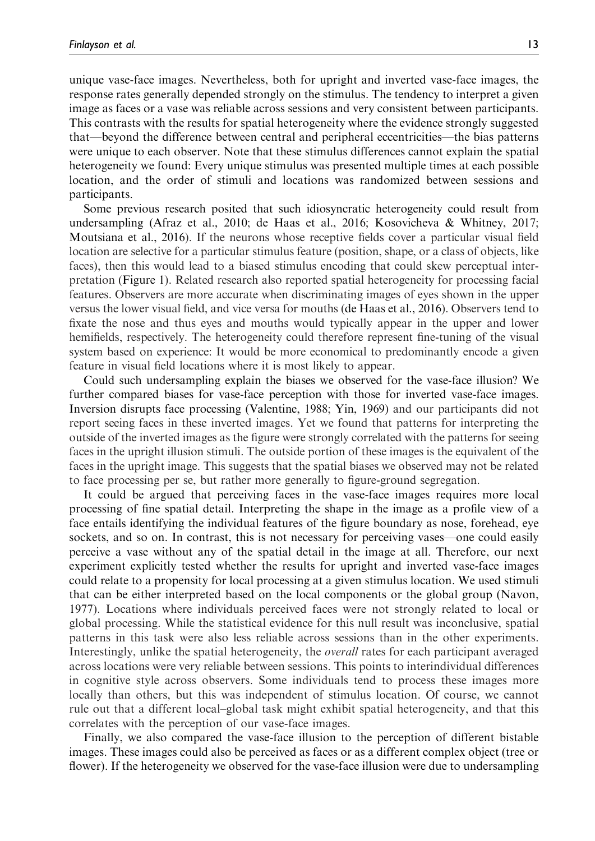unique vase-face images. Nevertheless, both for upright and inverted vase-face images, the response rates generally depended strongly on the stimulus. The tendency to interpret a given image as faces or a vase was reliable across sessions and very consistent between participants. This contrasts with the results for spatial heterogeneity where the evidence strongly suggested that—beyond the difference between central and peripheral eccentricities—the bias patterns were unique to each observer. Note that these stimulus differences cannot explain the spatial heterogeneity we found: Every unique stimulus was presented multiple times at each possible location, and the order of stimuli and locations was randomized between sessions and participants.

Some previous research posited that such idiosyncratic heterogeneity could result from undersampling (Afraz et al., 2010; de Haas et al., 2016; Kosovicheva & Whitney, 2017; Moutsiana et al., 2016). If the neurons whose receptive fields cover a particular visual field location are selective for a particular stimulus feature (position, shape, or a class of objects, like faces), then this would lead to a biased stimulus encoding that could skew perceptual interpretation (Figure 1). Related research also reported spatial heterogeneity for processing facial features. Observers are more accurate when discriminating images of eyes shown in the upper versus the lower visual field, and vice versa for mouths (de Haas et al., 2016). Observers tend to fixate the nose and thus eyes and mouths would typically appear in the upper and lower hemifields, respectively. The heterogeneity could therefore represent fine-tuning of the visual system based on experience: It would be more economical to predominantly encode a given feature in visual field locations where it is most likely to appear.

Could such undersampling explain the biases we observed for the vase-face illusion? We further compared biases for vase-face perception with those for inverted vase-face images. Inversion disrupts face processing (Valentine, 1988; Yin, 1969) and our participants did not report seeing faces in these inverted images. Yet we found that patterns for interpreting the outside of the inverted images as the figure were strongly correlated with the patterns for seeing faces in the upright illusion stimuli. The outside portion of these images is the equivalent of the faces in the upright image. This suggests that the spatial biases we observed may not be related to face processing per se, but rather more generally to figure-ground segregation.

It could be argued that perceiving faces in the vase-face images requires more local processing of fine spatial detail. Interpreting the shape in the image as a profile view of a face entails identifying the individual features of the figure boundary as nose, forehead, eye sockets, and so on. In contrast, this is not necessary for perceiving vases—one could easily perceive a vase without any of the spatial detail in the image at all. Therefore, our next experiment explicitly tested whether the results for upright and inverted vase-face images could relate to a propensity for local processing at a given stimulus location. We used stimuli that can be either interpreted based on the local components or the global group (Navon, 1977). Locations where individuals perceived faces were not strongly related to local or global processing. While the statistical evidence for this null result was inconclusive, spatial patterns in this task were also less reliable across sessions than in the other experiments. Interestingly, unlike the spatial heterogeneity, the *overall* rates for each participant averaged across locations were very reliable between sessions. This points to interindividual differences in cognitive style across observers. Some individuals tend to process these images more locally than others, but this was independent of stimulus location. Of course, we cannot rule out that a different local–global task might exhibit spatial heterogeneity, and that this correlates with the perception of our vase-face images.

Finally, we also compared the vase-face illusion to the perception of different bistable images. These images could also be perceived as faces or as a different complex object (tree or flower). If the heterogeneity we observed for the vase-face illusion were due to undersampling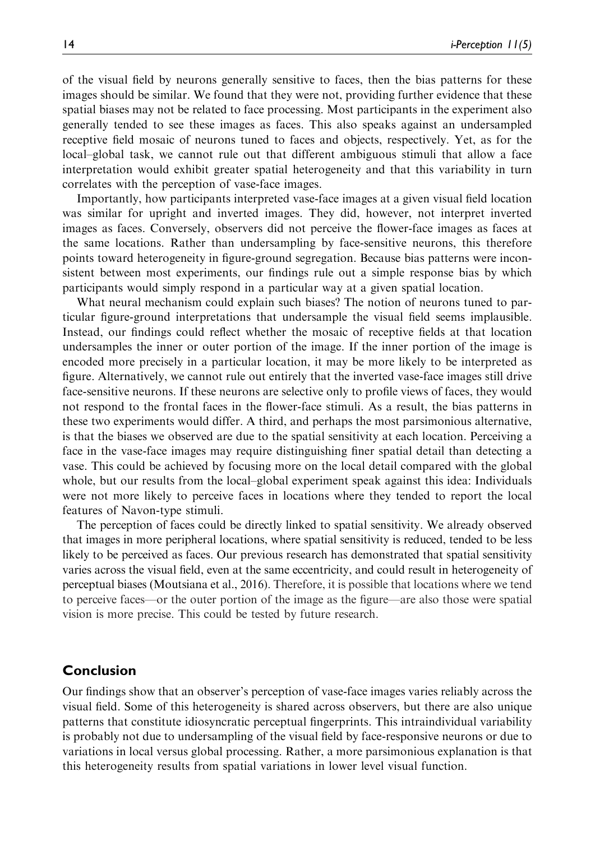of the visual field by neurons generally sensitive to faces, then the bias patterns for these images should be similar. We found that they were not, providing further evidence that these spatial biases may not be related to face processing. Most participants in the experiment also generally tended to see these images as faces. This also speaks against an undersampled receptive field mosaic of neurons tuned to faces and objects, respectively. Yet, as for the local–global task, we cannot rule out that different ambiguous stimuli that allow a face interpretation would exhibit greater spatial heterogeneity and that this variability in turn correlates with the perception of vase-face images.

Importantly, how participants interpreted vase-face images at a given visual field location was similar for upright and inverted images. They did, however, not interpret inverted images as faces. Conversely, observers did not perceive the flower-face images as faces at the same locations. Rather than undersampling by face-sensitive neurons, this therefore points toward heterogeneity in figure-ground segregation. Because bias patterns were inconsistent between most experiments, our findings rule out a simple response bias by which participants would simply respond in a particular way at a given spatial location.

What neural mechanism could explain such biases? The notion of neurons tuned to particular figure-ground interpretations that undersample the visual field seems implausible. Instead, our findings could reflect whether the mosaic of receptive fields at that location undersamples the inner or outer portion of the image. If the inner portion of the image is encoded more precisely in a particular location, it may be more likely to be interpreted as figure. Alternatively, we cannot rule out entirely that the inverted vase-face images still drive face-sensitive neurons. If these neurons are selective only to profile views of faces, they would not respond to the frontal faces in the flower-face stimuli. As a result, the bias patterns in these two experiments would differ. A third, and perhaps the most parsimonious alternative, is that the biases we observed are due to the spatial sensitivity at each location. Perceiving a face in the vase-face images may require distinguishing finer spatial detail than detecting a vase. This could be achieved by focusing more on the local detail compared with the global whole, but our results from the local–global experiment speak against this idea: Individuals were not more likely to perceive faces in locations where they tended to report the local features of Navon-type stimuli.

The perception of faces could be directly linked to spatial sensitivity. We already observed that images in more peripheral locations, where spatial sensitivity is reduced, tended to be less likely to be perceived as faces. Our previous research has demonstrated that spatial sensitivity varies across the visual field, even at the same eccentricity, and could result in heterogeneity of perceptual biases (Moutsiana et al., 2016). Therefore, it is possible that locations where we tend to perceive faces—or the outer portion of the image as the figure—are also those were spatial vision is more precise. This could be tested by future research.

## Conclusion

Our findings show that an observer's perception of vase-face images varies reliably across the visual field. Some of this heterogeneity is shared across observers, but there are also unique patterns that constitute idiosyncratic perceptual fingerprints. This intraindividual variability is probably not due to undersampling of the visual field by face-responsive neurons or due to variations in local versus global processing. Rather, a more parsimonious explanation is that this heterogeneity results from spatial variations in lower level visual function.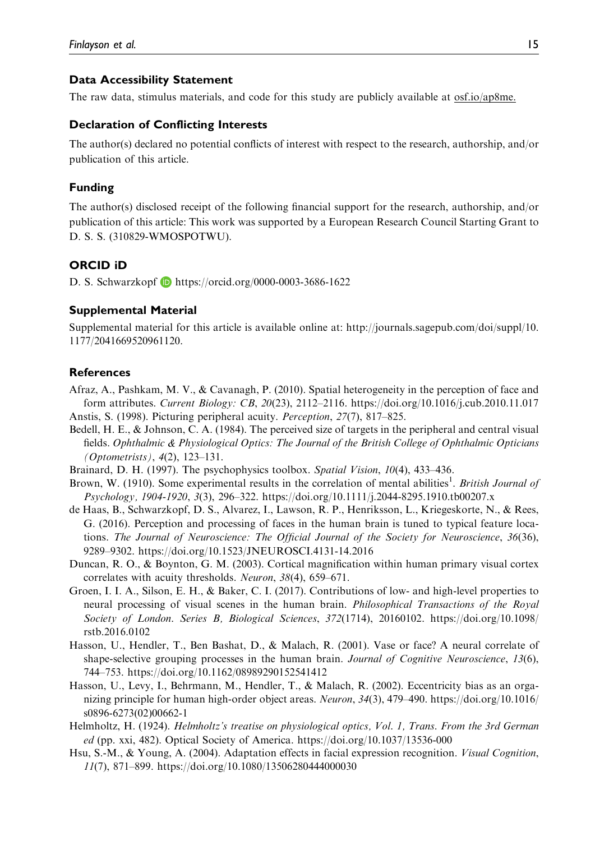## Data Accessibility Statement

The raw data, stimulus materials, and code for this study are publicly available at osf.io/ap8me.

#### Declaration of Conflicting Interests

The author(s) declared no potential conflicts of interest with respect to the research, authorship, and/or publication of this article.

#### Funding

The author(s) disclosed receipt of the following financial support for the research, authorship, and/or publication of this article: This work was supported by a European Research Council Starting Grant to D. S. S. (310829-WMOSPOTWU).

## ORCID iD

D. S. Schwarzkopf  $\Box$  <https://orcid.org/0000-0003-3686-1622>

## Supplemental Material

Supplemental material for this article is available online at: [http://journals.sagepub.com/doi/suppl/10.](http://journals.sagepub.com/doi/suppl/10.1177/2041669520961120) [1177/2041669520961120](http://journals.sagepub.com/doi/suppl/10.1177/2041669520961120).

#### **References**

- Afraz, A., Pashkam, M. V., & Cavanagh, P. (2010). Spatial heterogeneity in the perception of face and form attributes. Current Biology: CB, 20(23), 2112–2116.<https://doi.org/10.1016/j.cub.2010.11.017> Anstis, S. (1998). Picturing peripheral acuity. Perception, 27(7), 817–825.
- Bedell, H. E., & Johnson, C. A. (1984). The perceived size of targets in the peripheral and central visual fields. Ophthalmic & Physiological Optics: The Journal of the British College of Ophthalmic Opticians (Optometrists), 4(2), 123–131.
- Brainard, D. H. (1997). The psychophysics toolbox. Spatial Vision, 10(4), 433–436.
- Brown, W. (1910). Some experimental results in the correlation of mental abilities<sup>1</sup>. British Journal of Psychology, 1904-1920, 3(3), 296–322.<https://doi.org/10.1111/j.2044-8295.1910.tb00207.x>
- de Haas, B., Schwarzkopf, D. S., Alvarez, I., Lawson, R. P., Henriksson, L., Kriegeskorte, N., & Rees, G. (2016). Perception and processing of faces in the human brain is tuned to typical feature locations. The Journal of Neuroscience: The Official Journal of the Society for Neuroscience, 36(36), 9289–9302.<https://doi.org/10.1523/JNEUROSCI.4131-14.2016>
- Duncan, R. O., & Boynton, G. M. (2003). Cortical magnification within human primary visual cortex correlates with acuity thresholds. Neuron, 38(4), 659–671.
- Groen, I. I. A., Silson, E. H., & Baker, C. I. (2017). Contributions of low- and high-level properties to neural processing of visual scenes in the human brain. Philosophical Transactions of the Royal Society of London. Series B, Biological Sciences, 372(1714), 20160102. [https://doi.org/10.1098/](https://doi.org/10.1098/rstb.2016.0102) [rstb.2016.0102](https://doi.org/10.1098/rstb.2016.0102)
- Hasson, U., Hendler, T., Ben Bashat, D., & Malach, R. (2001). Vase or face? A neural correlate of shape-selective grouping processes in the human brain. Journal of Cognitive Neuroscience, 13(6), 744–753.<https://doi.org/10.1162/08989290152541412>
- Hasson, U., Levy, I., Behrmann, M., Hendler, T., & Malach, R. (2002). Eccentricity bias as an organizing principle for human high-order object areas. Neuron, 34(3), 479–490. [https://doi.org/10.1016/](https://doi.org/10.1016/s0896-6273(02)00662-1) [s0896-6273\(02\)00662-1](https://doi.org/10.1016/s0896-6273(02)00662-1)
- Helmholtz, H. (1924). Helmholtz's treatise on physiological optics, Vol. 1, Trans. From the 3rd German ed (pp. xxi, 482). Optical Society of America.<https://doi.org/10.1037/13536-000>
- Hsu, S.-M., & Young, A. (2004). Adaptation effects in facial expression recognition. Visual Cognition, 11(7), 871–899.<https://doi.org/10.1080/13506280444000030>